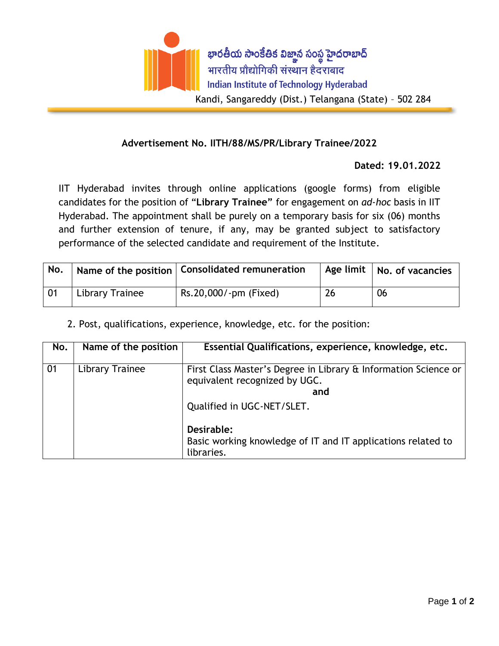

## **Advertisement No. IITH/88/MS/PR/Library Trainee/2022**

## **Dated: 19.01.2022**

IIT Hyderabad invites through online applications (google forms) from eligible candidates for the position of "**Library Trainee"** for engagement on *ad-hoc* basis in IIT Hyderabad. The appointment shall be purely on a temporary basis for six (06) months and further extension of tenure, if any, may be granted subject to satisfactory performance of the selected candidate and requirement of the Institute.

| No. |                 | <sup>1</sup> Name of the position   Consolidated remuneration |    | Age limit   No. of vacancies |
|-----|-----------------|---------------------------------------------------------------|----|------------------------------|
| -01 | Library Trainee | Rs.20,000/-pm (Fixed)                                         | 26 | -06                          |

2. Post, qualifications, experience, knowledge, etc. for the position:

| No. | Name of the position | Essential Qualifications, experience, knowledge, etc.                                                   |
|-----|----------------------|---------------------------------------------------------------------------------------------------------|
| 01  | Library Trainee      | First Class Master's Degree in Library & Information Science or<br>equivalent recognized by UGC.<br>and |
|     |                      | Qualified in UGC-NET/SLET.                                                                              |
|     |                      | Desirable:<br>Basic working knowledge of IT and IT applications related to<br>libraries.                |